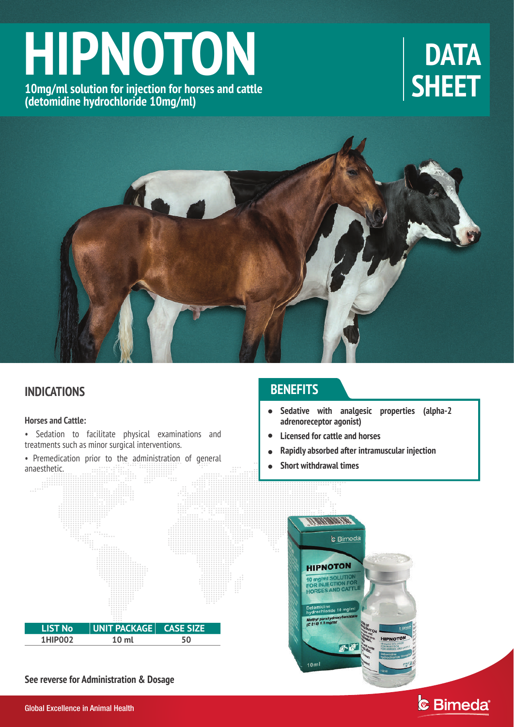# **HIPNOTON**

**10mg/ml solution for injection for horses and cattle (detomidine hydrochloride 10mg/ml)**

# **DATA SHEET**



# **INDICATIONS**

### **Horses and Cattle:**

- Sedation to facilitate physical examinations and treatments such as minor surgical interventions.
- Premedication prior to the administration of general anaesthetic.<br>  $\begin{bmatrix}\n\cdots \\
\cdots \\
\cdots\n\end{bmatrix}\n\begin{bmatrix}\n\cdots \\
\cdots \\
\cdots\n\end{bmatrix}$

# **BENEFITS**

- **Sedative with analgesic properties (alpha-2 adrenoreceptor agonist)**  $\bullet$
- **Licensed for cattle and horses**  $\bullet$
- **Rapidly absorbed after intramuscular injection**  $\bullet$
- **Short withdrawal times**  $\bullet$



**See reverse for Administration & Dosage** 



# & Bimeda®